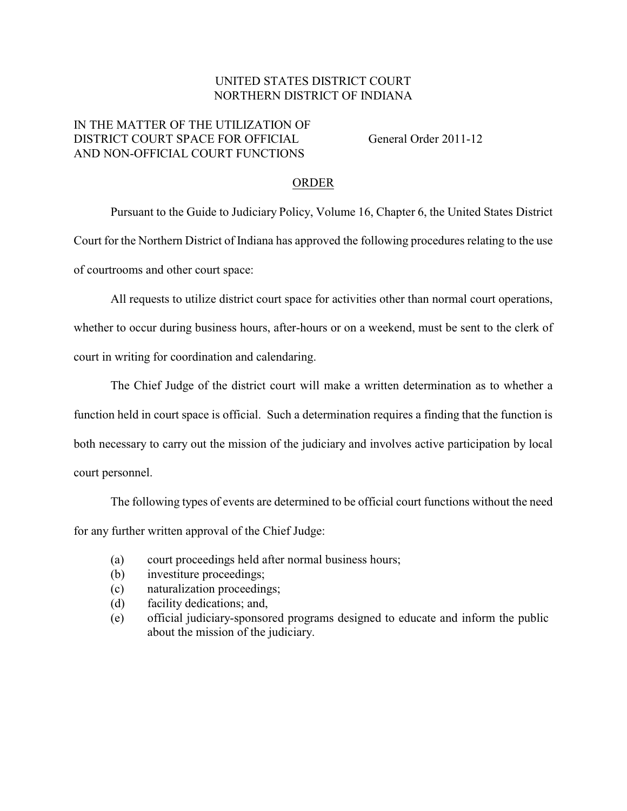## UNITED STATES DISTRICT COURT NORTHERN DISTRICT OF INDIANA

## IN THE MATTER OF THE UTILIZATION OF DISTRICT COURT SPACE FOR OFFICIAL General Order 2011-12 AND NON-OFFICIAL COURT FUNCTIONS

## ORDER

Pursuant to the Guide to Judiciary Policy, Volume 16, Chapter 6, the United States District Court for the Northern District of Indiana has approved the following procedures relating to the use of courtrooms and other court space:

All requests to utilize district court space for activities other than normal court operations,

whether to occur during business hours, after-hours or on a weekend, must be sent to the clerk of court in writing for coordination and calendaring.

The Chief Judge of the district court will make a written determination as to whether a function held in court space is official. Such a determination requires a finding that the function is both necessary to carry out the mission of the judiciary and involves active participation by local court personnel.

The following types of events are determined to be official court functions without the need for any further written approval of the Chief Judge:

- (a) court proceedings held after normal business hours;
- (b) investiture proceedings;
- (c) naturalization proceedings;
- (d) facility dedications; and,
- (e) official judiciary-sponsored programs designed to educate and inform the public about the mission of the judiciary.